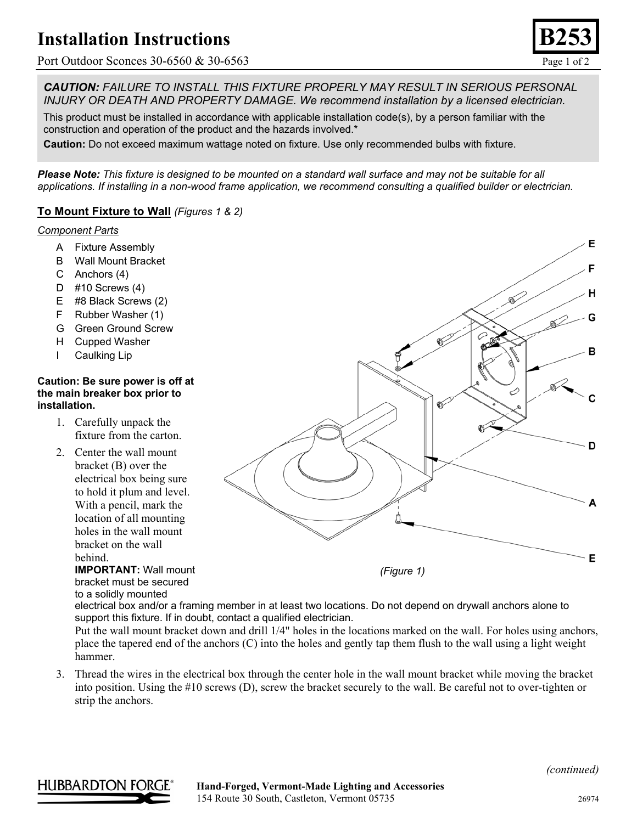## **Installation Instructions**

Port Outdoor Sconces 30-6560 & 30-6563 Page 1 of 2



Е

*CAUTION: FAILURE TO INSTALL THIS FIXTURE PROPERLY MAY RESULT IN SERIOUS PERSONAL INJURY OR DEATH AND PROPERTY DAMAGE. We recommend installation by a licensed electrician.*

This product must be installed in accordance with applicable installation code(s), by a person familiar with the construction and operation of the product and the hazards involved.\*

**Caution:** Do not exceed maximum wattage noted on fixture. Use only recommended bulbs with fixture.

*Please Note: This fixture is designed to be mounted on a standard wall surface and may not be suitable for all applications. If installing in a non-wood frame application, we recommend consulting a qualified builder or electrician.*

### **To Mount Fixture to Wall** *(Figures 1 & 2)*

#### *Component Parts*

- A Fixture Assembly
- B Wall Mount Bracket
- C Anchors (4)
- D #10 Screws (4)
- E #8 Black Screws (2)
- F Rubber Washer (1)
- G Green Ground Screw
- H Cupped Washer
- I Caulking Lip

#### **Caution: Be sure power is off at the main breaker box prior to installation.**

- 1. Carefully unpack the fixture from the carton.
- 2. Center the wall mount bracket (B) over the electrical box being sure to hold it plum and level. With a pencil, mark the location of all mounting holes in the wall mount bracket on the wall behind. **IMPORTANT:** Wall mount

bracket must be secured to a solidly mounted

н สั G в ○ ⋒ D A E

*(Figure 1)* 

electrical box and/or a framing member in at least two locations. Do not depend on drywall anchors alone to support this fixture. If in doubt, contact a qualified electrician.

Put the wall mount bracket down and drill 1/4" holes in the locations marked on the wall. For holes using anchors, place the tapered end of the anchors (C) into the holes and gently tap them flush to the wall using a light weight hammer.

3. Thread the wires in the electrical box through the center hole in the wall mount bracket while moving the bracket into position. Using the #10 screws (D), screw the bracket securely to the wall. Be careful not to over-tighten or strip the anchors.